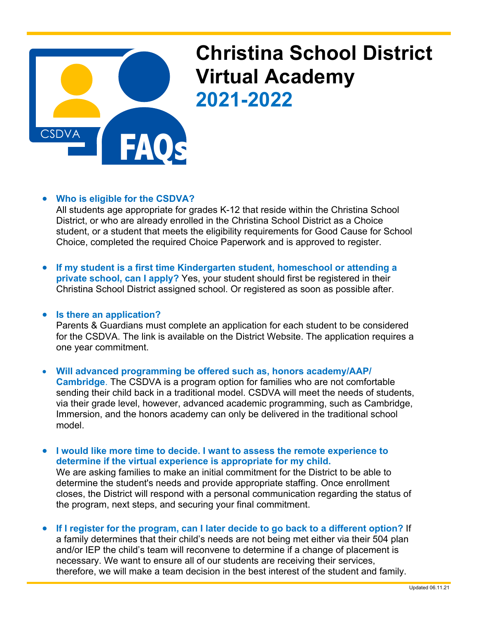

## **Christina School District Virtual Academy 2021-2022**

## • **Who is eligible for the CSDVA?**

All students age appropriate for grades K-12 that reside within the Christina School District, or who are already enrolled in the Christina School District as a Choice student, or a student that meets the eligibility requirements for Good Cause for School Choice, completed the required Choice Paperwork and is approved to register.

• **If my student is a first time Kindergarten student, homeschool or attending a private school, can I apply?** Yes, your student should first be registered in their Christina School District assigned school. Or registered as soon as possible after.

## • **Is there an application?**

Parents & Guardians must complete an application for each student to be considered for the CSDVA. The link is available on the District Website. The application requires a one year commitment.

• **Will advanced programming be offered such as, honors academy/AAP/ Cambridge**. The CSDVA is a program option for families who are not comfortable sending their child back in a traditional model. CSDVA will meet the needs of students, via their grade level, however, advanced academic programming, such as Cambridge, Immersion, and the honors academy can only be delivered in the traditional school model.

• **I would like more time to decide. I want to assess the remote experience to determine if the virtual experience is appropriate for my child.** We are asking families to make an initial commitment for the District to be able to determine the student's needs and provide appropriate staffing. Once enrollment closes, the District will respond with a personal communication regarding the status of the program, next steps, and securing your final commitment.

• **If I register for the program, can I later decide to go back to a different option?** If a family determines that their child's needs are not being met either via their 504 plan and/or IEP the child's team will reconvene to determine if a change of placement is necessary. We want to ensure all of our students are receiving their services, therefore, we will make a team decision in the best interest of the student and family.